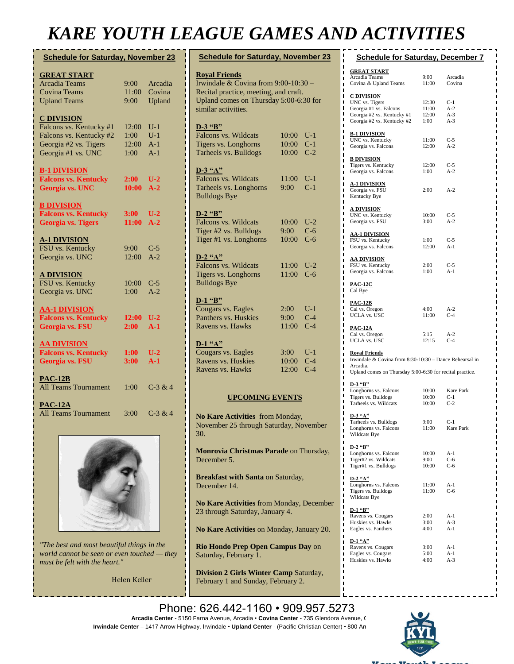## *KARE YOUTH LEAGUE GAMES AND ACTIVITIES*

| <b>Schedule for Saturday, November 23</b> |             |              |  |  |  |
|-------------------------------------------|-------------|--------------|--|--|--|
| <b>GREAT START</b>                        |             |              |  |  |  |
| <b>Arcadia Teams</b>                      | 9:00        | Arcadia      |  |  |  |
| <b>Covina Teams</b>                       | 11:00       | Covina       |  |  |  |
| <b>Upland Teams</b>                       | 9:00        | Upland       |  |  |  |
|                                           |             |              |  |  |  |
| <b>C DIVISION</b>                         |             |              |  |  |  |
| Falcons vs. Kentucky #1                   | 12:00       | U-1          |  |  |  |
| Falcons vs. Kentucky #2                   | 1:00 -      | $U-1$        |  |  |  |
| Georgia #2 vs. Tigers                     | 12:00       | $A-1$        |  |  |  |
| Georgia #1 vs. UNC                        | 1:00        | $A-1$        |  |  |  |
| <b>B-1 DIVISION</b>                       |             |              |  |  |  |
| <b>Falcons vs. Kentucky</b>               | $2:00^{-5}$ | $U-2$        |  |  |  |
| Georgia vs. UNC                           | 10:00       | $A-2$        |  |  |  |
|                                           |             |              |  |  |  |
| <b>B DIVISION</b>                         |             |              |  |  |  |
| <b>Falcons vs. Kentucky</b>               | 3:00        | $U-2$        |  |  |  |
| <b>Georgia vs. Tigers</b>                 | 11:00       | $A-2$        |  |  |  |
|                                           |             |              |  |  |  |
| <b>A-1 DIVISION</b><br>FSU vs. Kentucky   | 9:00        |              |  |  |  |
| Georgia vs. UNC                           | 12:00       | C-5<br>$A-2$ |  |  |  |
|                                           |             |              |  |  |  |
| <b>A DIVISION</b>                         |             |              |  |  |  |
| FSU vs. Kentucky                          | 10:00       | $C-5$        |  |  |  |
| Georgia vs. UNC                           | 1:00        | $A-2$        |  |  |  |
|                                           |             |              |  |  |  |
| <b>AA-1 DIVISION</b>                      |             |              |  |  |  |
| <b>Falcons vs. Kentucky</b>               | 12:00       | $U-2$        |  |  |  |
| Georgia vs. FSU                           | 2:00        | $A-1$        |  |  |  |
| <b>AA DIVISION</b>                        |             |              |  |  |  |
| <b>Falcons vs. Kentucky</b>               | 1:00        | $U-2$        |  |  |  |
| Georgia vs. FSU                           | 3:00        | $A-1$        |  |  |  |
|                                           |             |              |  |  |  |
| $PAC-12B$                                 |             |              |  |  |  |
| <b>All Teams Tournament</b>               | 1:00        | $C-3 & 4$    |  |  |  |
|                                           |             |              |  |  |  |
| <b>PAC-12A</b><br>All Teams Tournament    | 3:00        | $C-3 & 4$    |  |  |  |
|                                           |             |              |  |  |  |



*"The best and most beautiful things in the world cannot be seen or even touched — they must be felt with the heart."*

Helen Keller

| <b>Schedule for Saturday, November 23</b>                                       |       |                |  |  |  |  |
|---------------------------------------------------------------------------------|-------|----------------|--|--|--|--|
| <b>Royal Friends</b>                                                            |       |                |  |  |  |  |
| Irwindale & Covina from $9:00-10:30$ -<br>Recital practice, meeting, and craft. |       |                |  |  |  |  |
| Upland comes on Thursday 5:00-6:30 for                                          |       |                |  |  |  |  |
| similar activities.                                                             |       |                |  |  |  |  |
|                                                                                 |       |                |  |  |  |  |
| D-3 "B"                                                                         |       |                |  |  |  |  |
| Falcons vs. Wildcats                                                            | 10:00 | $U-1$          |  |  |  |  |
| Tigers vs. Longhorns                                                            | 10:00 | $C-1$          |  |  |  |  |
| Tarheels vs. Bulldogs                                                           | 10:00 | $C-2$          |  |  |  |  |
| $D-3$ "A"                                                                       |       |                |  |  |  |  |
| Falcons vs. Wildcats                                                            | 11:00 | $U-1$          |  |  |  |  |
| Tarheels vs. Longhorns                                                          | 9:00  | $C-1$          |  |  |  |  |
| <b>Bulldogs Bye</b>                                                             |       |                |  |  |  |  |
|                                                                                 |       |                |  |  |  |  |
| $D-2$ "B"                                                                       |       |                |  |  |  |  |
| Falcons vs. Wildcats                                                            | 10:00 | $U-2$          |  |  |  |  |
| Tiger #2 vs. Bulldogs                                                           | 9:00  | $C-6$          |  |  |  |  |
| Tiger #1 vs. Longhorns                                                          | 10:00 | $C-6$          |  |  |  |  |
| $D-2$ "A"                                                                       |       |                |  |  |  |  |
| Falcons vs. Wildcats                                                            | 11:00 | $U-2$          |  |  |  |  |
| Tigers vs. Longhorns                                                            | 11:00 | $C-6$          |  |  |  |  |
| <b>Bulldogs Bye</b>                                                             |       |                |  |  |  |  |
|                                                                                 |       |                |  |  |  |  |
| $D-1$ "B"                                                                       |       |                |  |  |  |  |
| Cougars vs. Eagles<br>Panthers vs. Huskies                                      | 2:00  | $U-1$<br>$C-4$ |  |  |  |  |
|                                                                                 | 9:00  | $C-4$          |  |  |  |  |
| Ravens vs. Hawks                                                                | 11:00 |                |  |  |  |  |
| $D-1$ "A"                                                                       |       |                |  |  |  |  |
| Cougars vs. Eagles                                                              | 3:00  | U-1            |  |  |  |  |
| Ravens vs. Huskies                                                              | 10:00 | $C-4$          |  |  |  |  |
| Ravens vs. Hawks                                                                | 12:00 | $C-4$          |  |  |  |  |
|                                                                                 |       |                |  |  |  |  |
| <b>UPCOMING EVENTS</b>                                                          |       |                |  |  |  |  |
|                                                                                 |       |                |  |  |  |  |

**No Kare Activities** from Monday, November 25 through Saturday, November 30.

**Monrovia Christmas Parade** on Thursday, December 5.

**Breakfast with Santa** on Saturday, December 14.

**No Kare Activities** from Monday, December 23 through Saturday, January 4.

**No Kare Activities** on Monday, January 20.

**Rio Hondo Prep Open Campus Day** on Saturday, February 1.

**Division 2 Girls Winter Camp** Saturday, February 1 and Sunday, February 2.

| .<br>. |                                                          |               |                |  |  |  |
|--------|----------------------------------------------------------|---------------|----------------|--|--|--|
| ı      | п<br><b>Schedule for Saturday, December 7</b>            |               |                |  |  |  |
| ı      | <u>GREAT START</u>                                       |               |                |  |  |  |
| ı<br>ī | Arcadia Teams                                            | 9:00          | Arcadia        |  |  |  |
| ı      | Covina & Upland Teams                                    | 11:00         | Covina         |  |  |  |
| п<br>ı |                                                          |               |                |  |  |  |
| ı      | <u>C DIVISION</u><br>UNC vs. Tigers                      | 12:30         | $C-1$          |  |  |  |
| ı      | Georgia #1 vs. Falcons                                   | 11:00         | $A-2$          |  |  |  |
| ı      | Georgia #2 vs. Kentucky #1                               | 12:00         | $A-3$          |  |  |  |
| ı<br>ı | Georgia #2 vs. Kentucky #2                               | 1:00          | $A-3$          |  |  |  |
| ı      | <u>B-1 DIVISION</u>                                      |               |                |  |  |  |
| ı      | UNC vs. Kentucky                                         | 11:00         | $C-5$          |  |  |  |
| ı<br>ı | Georgia vs. Falcons                                      | 12:00         | $A-2$          |  |  |  |
| ı      |                                                          |               |                |  |  |  |
| ı      | <b>B DIVISION</b>                                        |               |                |  |  |  |
| ı<br>ı | Tigers vs. Kentucky<br>Georgia vs. Falcons               | 12:00<br>1:00 | $C-5$<br>$A-2$ |  |  |  |
| ı      |                                                          |               |                |  |  |  |
| ı      | <u>A-1 DIVISION</u>                                      |               |                |  |  |  |
| ı      | Georgia vs. FSU                                          | 2:00          | $A-2$          |  |  |  |
| ı<br>ı | Kentucky Bye                                             |               |                |  |  |  |
| ı      | <u>A DIVISION</u>                                        |               |                |  |  |  |
| ı      | UNC vs. Kentucky                                         | 10:00         | $C-5$          |  |  |  |
| ı<br>ı | Georgia vs. FSU                                          | 3:00          | $A-2$          |  |  |  |
| ı      |                                                          |               |                |  |  |  |
| ı      | <u>AA-1 DIVISION</u><br>FSU vs. Kentucky                 | 1:00          | $C-5$          |  |  |  |
| ı<br>ı | Georgia vs. Falcons                                      | 12:00         | A-1            |  |  |  |
| ı      |                                                          |               |                |  |  |  |
| ı      | <b>AA DIVISION</b>                                       |               |                |  |  |  |
| ı      | FSU vs. Kentucky                                         | 2:00          | $C-5$<br>$A-1$ |  |  |  |
| ı<br>ı | Georgia vs. Falcons                                      | 1:00          |                |  |  |  |
| ı      | <b>PAC-12C</b>                                           |               |                |  |  |  |
| ı      | Cal Bye                                                  |               |                |  |  |  |
| ı<br>ı |                                                          |               |                |  |  |  |
| ı      | <u>PAC-12B</u><br>Cal vs. Oregon                         | 4:00          | $A-2$          |  |  |  |
| ı      | UCLA vs. USC                                             | 11:00         | $C-4$          |  |  |  |
| ı<br>ı |                                                          |               |                |  |  |  |
| ı      | <u>PAC-12A</u>                                           |               |                |  |  |  |
| ı      | Cal vs. Oregon<br>UCLA vs. USC                           | 5:15<br>12:15 | $A-2$<br>$C-4$ |  |  |  |
| ı<br>ı |                                                          |               |                |  |  |  |
| ı      | <b>Royal Friends</b>                                     |               |                |  |  |  |
| ı      | Irwindale & Covina from 8:30-10:30 - Dance Rehearsal in  |               |                |  |  |  |
| ı      | Arcadia.                                                 |               |                |  |  |  |
| ı<br>ı | Upland comes on Thursday 5:00-6:30 for recital practice. |               |                |  |  |  |
| ı      | D-3 "B"                                                  |               |                |  |  |  |
| п      | Longhorns vs. Falcons                                    | 10:00         | Kare Park      |  |  |  |
| ı<br>ı | Tigers vs. Bulldogs                                      | 10:00         | $C-1$          |  |  |  |
| ı      | Tarheels vs. Wildcats                                    | 10:00         | $C-2$          |  |  |  |
| ı      | <u>D-3 "A"</u>                                           |               |                |  |  |  |
| ī<br>ı | Tarheels vs. Bulldogs                                    | 9:00          | $C-1$          |  |  |  |
| ı      | Longhorns vs. Falcons                                    | 11:00         | Kare Park      |  |  |  |
| ı      | Wildcats Bye                                             |               |                |  |  |  |
| ı<br>ı | D-2 "B"                                                  |               |                |  |  |  |
| ı      | Longhorns vs. Falcons                                    | 10:00         | A-1            |  |  |  |
| ı      | Tiger#2 vs. Wildcats                                     | 9:00          | C-6            |  |  |  |
| ı      | Tiger#1 vs. Bulldogs                                     | 10:00         | C-6            |  |  |  |
| ı<br>ı | <b>D-2 "A"</b>                                           |               |                |  |  |  |
| ı      | Longhorns vs. Falcons                                    | 11:00         | A-1            |  |  |  |
| ı      | Tigers vs. Bulldogs                                      | 11:00         | C-6            |  |  |  |
| ı<br>ı | Wildcats Bye                                             |               |                |  |  |  |
| I      |                                                          |               |                |  |  |  |
| ı      | D-1 "B"<br>Ravens vs. Cougars                            | 2:00          | A-1            |  |  |  |
| ı<br>ı | Huskies vs. Hawks                                        | 3:00          | $A-3$          |  |  |  |
|        |                                                          |               |                |  |  |  |

Eagles vs. Panthers 4:00 A-1 **D-1 "A"**<br>Ravens vs. Cougars 3:00 A-1 Eagles vs. Cougars 5:00 A-1<br>Huskies vs. Hawks 4:00 A-3 Huskies vs. Hawks

Phone: 626.442-1160 · 909.957.5273 **Arcadia Center** - 5150 Farna Avenue, Arcadia • **Covina Center** - 735 Glendora Avenue, Covina **Irwindale Center** – 1417 Arrow Highway, Irwindale • Upland Center - (Pacific Christian Center) • 800 Arrow Highway, Irwindale • Upland Center - (Pacific Christian Center) • 800 Arr **AA and Pac 12 Winter Camp** Saturday,